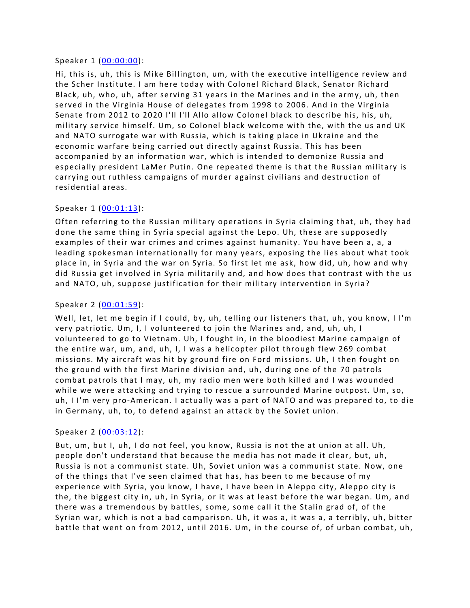#### Speaker 1 ([00:00:00](https://www.temi.com/editor/t/wNqlUMe76J9IiWwF3SXKRluuNQlwzAET67QxKPQQQPWOnfSULT3sXNU36Edeks9oj1gvYHfb4Y4MEMA6L15qSUe9WdE?loadFrom=DocumentDeeplink&ts=0.32)):

Hi, this is, uh, this is Mike Billington, um, with the executive intelligence review and the Scher Institute. I am here today with Colonel Richard Black, Senator Richard Black, uh, who, uh, after serving 31 years in the Marines and in the army, uh, then served in the Virginia House of delegates from 1998 to 2006. And in the Virginia Senate from 2012 to 2020 I'll I'll Allo allow Colonel black to describe his, his, uh, military service himself. Um, so Colonel black welcome with the, with the us and UK and NATO surrogate war with Russia, which is taking place in Ukraine and the economic warfare being carried out directly against Russia. This has been accompanied by an information war, which is intended to demonize Russia and especially president LaMer Putin. One repeated theme is that the Russian military is carrying out ruthless campaigns of murder against civilians and destruction of residential areas.

### Speaker 1 ([00:01:13](https://www.temi.com/editor/t/wNqlUMe76J9IiWwF3SXKRluuNQlwzAET67QxKPQQQPWOnfSULT3sXNU36Edeks9oj1gvYHfb4Y4MEMA6L15qSUe9WdE?loadFrom=DocumentDeeplink&ts=73.79)):

Often referring to the Russian military operations in Syria claiming that, uh, they had done the same thing in Syria special against the Lepo. Uh, these are supposedly examples of their war crimes and crimes against humanity. You have been a, a, a leading spokesman internationally for many years, exposing the lies about what took place in, in Syria and the war on Syria. So first let me ask, how did, uh, how and why did Russia get involved in Syria militarily and, and how does that contrast with the us and NATO, uh, suppose justification for their military intervention in Syria?

### Speaker 2 ([00:01:59](https://www.temi.com/editor/t/wNqlUMe76J9IiWwF3SXKRluuNQlwzAET67QxKPQQQPWOnfSULT3sXNU36Edeks9oj1gvYHfb4Y4MEMA6L15qSUe9WdE?loadFrom=DocumentDeeplink&ts=119.29)):

Well, let, let me begin if I could, by, uh, telling our listeners that, uh, you know, I I'm very patriotic. Um, I, I volunteered to join the Marines and, and, uh, uh, I volunteered to go to Vietnam. Uh, I fought in, in the bloodiest Marine campaign of the entire war, um, and, uh, I, I was a helicopter pilot through flew 269 combat missions. My aircraft was hit by ground fire on Ford missions. Uh, I then fought on the ground with the first Marine division and, uh, during one of the 70 patrols combat patrols that I may, uh, my radio men were both killed and I was wounded while we were attacking and trying to rescue a surrounded Marine outpost. Um, so, uh, I I'm very pro-American. I actually was a part of NATO and was prepared to, to die in Germany, uh, to, to defend against an attack by the Soviet union.

#### Speaker 2 ([00:03:12](https://www.temi.com/editor/t/wNqlUMe76J9IiWwF3SXKRluuNQlwzAET67QxKPQQQPWOnfSULT3sXNU36Edeks9oj1gvYHfb4Y4MEMA6L15qSUe9WdE?loadFrom=DocumentDeeplink&ts=192.18)):

But, um, but I, uh, I do not feel, you know, Russia is not the at union at all. Uh, people don't understand that because the media has not made it clear, but, uh, Russia is not a communist state. Uh, Soviet union was a communist state. Now, one of the things that I've seen claimed that has, has been to me because of my experience with Syria, you know, I have, I have been in Aleppo city, Aleppo city is the, the biggest city in, uh, in Syria, or it was at least before the war began. Um, and there was a tremendous by battles, some, some call it the Stalin grad of, of the Syrian war, which is not a bad comparison. Uh, it was a, it was a, a terribly, uh, bitter battle that went on from 2012, until 2016. Um, in the course of, of urban combat, uh,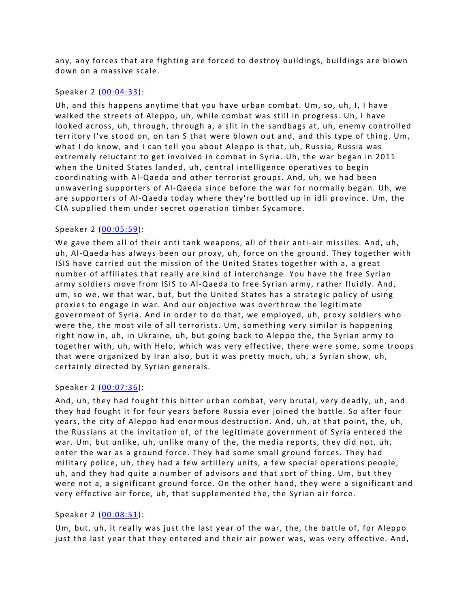any, any forces that are fighting are forced to destroy buildings, buildings are blown down on a massive scale.

### Speaker 2 ([00:04:33](https://www.temi.com/editor/t/wNqlUMe76J9IiWwF3SXKRluuNQlwzAET67QxKPQQQPWOnfSULT3sXNU36Edeks9oj1gvYHfb4Y4MEMA6L15qSUe9WdE?loadFrom=DocumentDeeplink&ts=273.95)):

Uh, and this happens anytime that you have urban combat. Um, so, uh, I, I have walked the streets of Aleppo, uh, while combat was still in progress. Uh, I have looked across, uh, through, through a, a slit in the sandbags at, uh, enemy controlled territory I've stood on, on tan S that were blown out and, and this type of thing. Um, what I do know, and I can tell you about Aleppo is that, uh, Russia, Russia was extremely reluctant to get involved in combat in Syria. Uh, the war began in 2011 when the United States landed, uh, central intelligence operatives to begin coordinating with Al-Qaeda and other terrorist groups. And, uh, we had been unwavering supporters of Al-Qaeda since before the war for normally began. Uh, we are supporters of Al-Qaeda today where they're bottled up in idli province. Um, the CIA supplied them under secret operation timber Sycamore.

# Speaker 2 ([00:05:59](https://www.temi.com/editor/t/wNqlUMe76J9IiWwF3SXKRluuNQlwzAET67QxKPQQQPWOnfSULT3sXNU36Edeks9oj1gvYHfb4Y4MEMA6L15qSUe9WdE?loadFrom=DocumentDeeplink&ts=359.06)):

We gave them all of their anti tank weapons, all of their anti-air missiles. And, uh, uh, Al-Qaeda has always been our proxy, uh, force on the ground. They together with ISIS have carried out the mission of the United States together with a, a great number of affiliates that really are kind of interchange. You have the free Syrian army soldiers move from ISIS to Al-Qaeda to free Syrian army, rather fluidly. And, um, so we, we that war, but, but the United States has a strategic policy of using proxies to engage in war. And our objective was overthrow the legitimate government of Syria. And in order to do that, we employed, uh, proxy soldiers who were the, the most vile of all terrorists. Um, something very similar is happening right now in, uh, in Ukraine, uh, but going back to Aleppo the, the Syrian army to together with, uh, with Helo, which was very effective, there were some, some troops that were organized by Iran also, but it was pretty much, uh, a Syrian show, uh, certainly directed by Syrian generals.

#### Speaker 2 ([00:07:36](https://www.temi.com/editor/t/wNqlUMe76J9IiWwF3SXKRluuNQlwzAET67QxKPQQQPWOnfSULT3sXNU36Edeks9oj1gvYHfb4Y4MEMA6L15qSUe9WdE?loadFrom=DocumentDeeplink&ts=456.59)):

And, uh, they had fought this bitter urban combat, very brutal, very deadly, uh, and they had fought it for four years before Russia ever joined the battle. So after four years, the city of Aleppo had enormous destruction. And, uh, at that point, the, uh, the Russians at the invitation of, of the legitimate government of Syria entered the war. Um, but unlike, uh, unlike many of the, the media reports, they did not, uh, enter the war as a ground force. They had some small ground forces. They had military police, uh, they had a few artillery units, a few special operations people, uh, and they had quite a number of advisors and that sort of thing. Um, but they were not a, a significant ground force. On the other hand, they were a significant and very effective air force, uh, that supplemented the, the Syrian air force.

# Speaker 2 ([00:08:51](https://www.temi.com/editor/t/wNqlUMe76J9IiWwF3SXKRluuNQlwzAET67QxKPQQQPWOnfSULT3sXNU36Edeks9oj1gvYHfb4Y4MEMA6L15qSUe9WdE?loadFrom=DocumentDeeplink&ts=531.78)):

Um, but, uh, it really was just the last year of the war, the, the battle of, for Aleppo just the last year that they entered and their air power was, was very effective. And,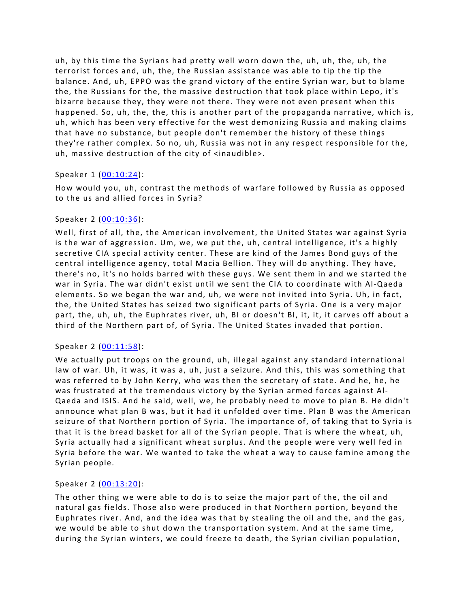uh, by this time the Syrians had pretty well worn down the, uh, uh, the, uh, the terrorist forces and, uh, the, the Russian assistance was able to tip the tip the balance. And, uh, EPPO was the grand victory of the entire Syrian war, but to blame the, the Russians for the, the massive destruction that took place within Lepo, it's bizarre because they, they were not there. They were not even present when this happened. So, uh, the, the, this is another part of the propaganda narrative, which is, uh, which has been very effective for the west demonizing Russia and making claims that have no substance, but people don't remember the history of these things they're rather complex. So no, uh, Russia was not in any respect responsible for the, uh, massive destruction of the city of <inaudible>.

### Speaker 1 ([00:10:24](https://www.temi.com/editor/t/wNqlUMe76J9IiWwF3SXKRluuNQlwzAET67QxKPQQQPWOnfSULT3sXNU36Edeks9oj1gvYHfb4Y4MEMA6L15qSUe9WdE?loadFrom=DocumentDeeplink&ts=624.87)):

How would you, uh, contrast the methods of warfare followed by Russia as opposed to the us and allied forces in Syria?

### Speaker 2 ([00:10:36](https://www.temi.com/editor/t/wNqlUMe76J9IiWwF3SXKRluuNQlwzAET67QxKPQQQPWOnfSULT3sXNU36Edeks9oj1gvYHfb4Y4MEMA6L15qSUe9WdE?loadFrom=DocumentDeeplink&ts=636.7)):

Well, first of all, the, the American involvement, the United States war against Syria is the war of aggression. Um, we, we put the, uh, central intelligence, it's a highly secretive CIA special activity center. These are kind of the James Bond guys of the central intelligence agency, total Macia Bellion. They will do anything. They have, there's no, it's no holds barred with these guys. We sent them in and we started the war in Syria. The war didn't exist until we sent the CIA to coordinate with Al-Qaeda elements. So we began the war and, uh, we were not invited into Syria. Uh, in fact, the, the United States has seized two significant parts of Syria. One is a very major part, the, uh, uh, the Euphrates river, uh, BI or doesn't BI, it, it, it carves off about a third of the Northern part of, of Syria. The United States invaded that portion.

# Speaker 2 ([00:11:58](https://www.temi.com/editor/t/wNqlUMe76J9IiWwF3SXKRluuNQlwzAET67QxKPQQQPWOnfSULT3sXNU36Edeks9oj1gvYHfb4Y4MEMA6L15qSUe9WdE?loadFrom=DocumentDeeplink&ts=718.059)):

We actually put troops on the ground, uh, illegal against any standard international law of war. Uh, it was, it was a, uh, just a seizure. And this, this was something that was referred to by John Kerry, who was then the secretary of state. And he, he, he was frustrated at the tremendous victory by the Syrian armed forces against Al-Qaeda and ISIS. And he said, well, we, he probably need to move to plan B. He didn't announce what plan B was, but it had it unfolded over time. Plan B was the American seizure of that Northern portion of Syria. The importance of, of taking that to Syria is that it is the bread basket for all of the Syrian people. That is where the wheat, uh, Syria actually had a significant wheat surplus. And the people were very well fed in Syria before the war. We wanted to take the wheat a way to cause famine among the Syrian people.

# Speaker 2 ([00:13:20](https://www.temi.com/editor/t/wNqlUMe76J9IiWwF3SXKRluuNQlwzAET67QxKPQQQPWOnfSULT3sXNU36Edeks9oj1gvYHfb4Y4MEMA6L15qSUe9WdE?loadFrom=DocumentDeeplink&ts=800.11)):

The other thing we were able to do is to seize the major part of the, the oil and natural gas fields. Those also were produced in that Northern portion, beyond the Euphrates river. And, and the idea was that by stealing the oil and the, and the gas, we would be able to shut down the transportation system. And at the same time, during the Syrian winters, we could freeze to death, the Syrian civilian population,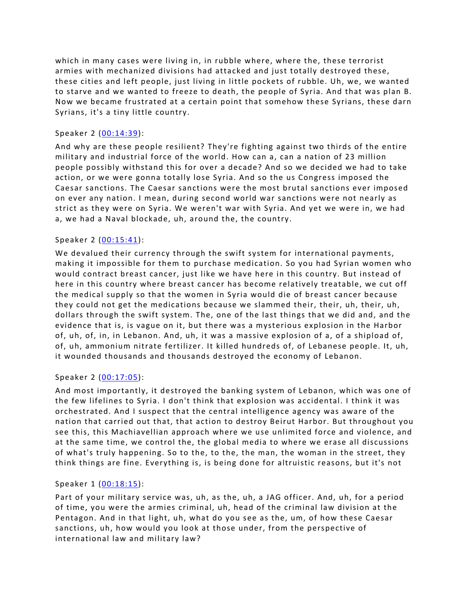which in many cases were living in, in rubble where, where the, these terrorist armies with mechanized divisions had attacked and just totally destroyed these, these cities and left people, just living in little pockets of rubble. Uh, we, we wanted to starve and we wanted to freeze to death, the people of Syria. And that was plan B. Now we became frustrated at a certain point that somehow these Syrians, these darn Syrians, it's a tiny little country.

# Speaker 2 ([00:14:39](https://www.temi.com/editor/t/wNqlUMe76J9IiWwF3SXKRluuNQlwzAET67QxKPQQQPWOnfSULT3sXNU36Edeks9oj1gvYHfb4Y4MEMA6L15qSUe9WdE?loadFrom=DocumentDeeplink&ts=879.2)):

And why are these people resilient? They're fighting against two thirds of the entire military and industrial force of the world. How can a, can a nation of 23 million people possibly withstand this for over a decade? And so we decided we had to take action, or we were gonna totally lose Syria. And so the us Congress imposed the Caesar sanctions. The Caesar sanctions were the most brutal sanctions ever imposed on ever any nation. I mean, during second world war sanctions were not nearly as strict as they were on Syria. We weren't war with Syria. And yet we were in, we had a, we had a Naval blockade, uh, around the, the country.

### Speaker 2 ([00:15:41](https://www.temi.com/editor/t/wNqlUMe76J9IiWwF3SXKRluuNQlwzAET67QxKPQQQPWOnfSULT3sXNU36Edeks9oj1gvYHfb4Y4MEMA6L15qSUe9WdE?loadFrom=DocumentDeeplink&ts=941.56)):

We devalued their currency through the swift system for international payments, making it impossible for them to purchase medication. So you had Syrian women who would contract breast cancer, just like we have here in this country. But instead of here in this country where breast cancer has become relatively treatable, we cut off the medical supply so that the women in Syria would die of breast cancer because they could not get the medications because we slammed their, their, uh, their, uh, dollars through the swift system. The, one of the last things that we did and, and the evidence that is, is vague on it, but there was a mysterious explosion in the Harbor of, uh, of, in, in Lebanon. And, uh, it was a massive explosion of a, of a shipload of, of, uh, ammonium nitrate fertilizer. It killed hundreds of, of Lebanese people. It, uh, it wounded thousands and thousands destroyed the economy of Lebanon.

#### Speaker 2 ([00:17:05](https://www.temi.com/editor/t/wNqlUMe76J9IiWwF3SXKRluuNQlwzAET67QxKPQQQPWOnfSULT3sXNU36Edeks9oj1gvYHfb4Y4MEMA6L15qSUe9WdE?loadFrom=DocumentDeeplink&ts=1025.119)):

And most importantly, it destroyed the banking system of Lebanon, which was one of the few lifelines to Syria. I don't think that explosion was accidental. I think it was orchestrated. And I suspect that the central intelligence agency was aware of the nation that carried out that, that action to destroy Beirut Harbor. But throughout you see this, this Machiavellian approach where we use unlimited force and violence, and at the same time, we control the, the global media to where we erase all discussions of what's truly happening. So to the, to the, the man, the woman in the street, they think things are fine. Everything is, is being done for altruistic reasons, but it's not

# Speaker 1 ([00:18:15](https://www.temi.com/editor/t/wNqlUMe76J9IiWwF3SXKRluuNQlwzAET67QxKPQQQPWOnfSULT3sXNU36Edeks9oj1gvYHfb4Y4MEMA6L15qSUe9WdE?loadFrom=DocumentDeeplink&ts=1095.49)):

Part of your military service was, uh, as the, uh, a JAG officer. And, uh, for a period of time, you were the armies criminal, uh, head of the criminal law division at the Pentagon. And in that light, uh, what do you see as the, um, of how these Caesar sanctions, uh, how would you look at those under, from the perspective of international law and military law?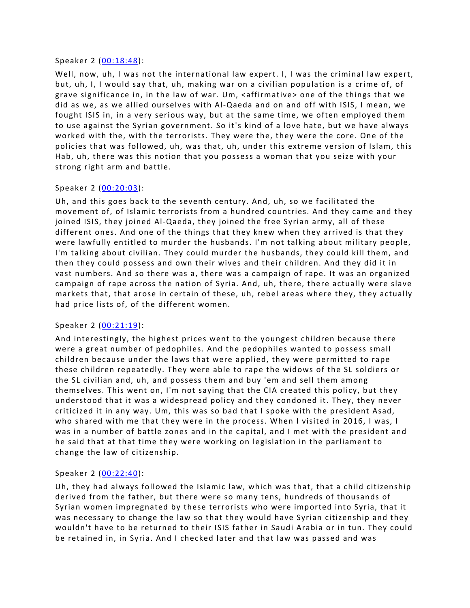#### Speaker 2 ([00:18:48](https://www.temi.com/editor/t/wNqlUMe76J9IiWwF3SXKRluuNQlwzAET67QxKPQQQPWOnfSULT3sXNU36Edeks9oj1gvYHfb4Y4MEMA6L15qSUe9WdE?loadFrom=DocumentDeeplink&ts=1128.84)):

Well, now, uh, I was not the international law expert. I, I was the criminal law expert, but, uh, I, I would say that, uh, making war on a civilian population is a crime of, of grave significance in, in the law of war. Um, <affirmative> one of the things that we did as we, as we allied ourselves with Al-Qaeda and on and off with ISIS, I mean, we fought ISIS in, in a very serious way, but at the same time, we often employed them to use against the Syrian government. So it's kind of a love hate, but we have always worked with the, with the terrorists. They were the, they were the core. One of the policies that was followed, uh, was that, uh, under this extreme version of Islam, this Hab, uh, there was this notion that you possess a woman that you seize with your strong right arm and battle.

### Speaker 2 ([00:20:03](https://www.temi.com/editor/t/wNqlUMe76J9IiWwF3SXKRluuNQlwzAET67QxKPQQQPWOnfSULT3sXNU36Edeks9oj1gvYHfb4Y4MEMA6L15qSUe9WdE?loadFrom=DocumentDeeplink&ts=1203.99)):

Uh, and this goes back to the seventh century. And, uh, so we facilitated the movement of, of Islamic terrorists from a hundred countries. And they came and they joined ISIS, they joined Al-Qaeda, they joined the free Syrian army, all of these different ones. And one of the things that they knew when they arrived is that they were lawfully entitled to murder the husbands. I'm not talking about military people, I'm talking about civilian. They could murder the husbands, they could kill them, and then they could possess and own their wives and their children. And they did it in vast numbers. And so there was a, there was a campaign of rape. It was an organized campaign of rape across the nation of Syria. And, uh, there, there actually were slave markets that, that arose in certain of these, uh, rebel areas where they, they actually had price lists of, of the different women.

#### Speaker 2 ([00:21:19](https://www.temi.com/editor/t/wNqlUMe76J9IiWwF3SXKRluuNQlwzAET67QxKPQQQPWOnfSULT3sXNU36Edeks9oj1gvYHfb4Y4MEMA6L15qSUe9WdE?loadFrom=DocumentDeeplink&ts=1279.57)):

And interestingly, the highest prices went to the youngest children because there were a great number of pedophiles. And the pedophiles wanted to possess small children because under the laws that were applied, they were permitted to rape these children repeatedly. They were able to rape the widows of the SL soldiers or the SL civilian and, uh, and possess them and buy 'em and sell them among themselves. This went on, I'm not saying that the CIA created this policy, but they understood that it was a widespread policy and they condoned it. They, they never criticized it in any way. Um, this was so bad that I spoke with the president Asad, who shared with me that they were in the process. When I visited in 2016, I was, I was in a number of battle zones and in the capital, and I met with the president and he said that at that time they were working on legislation in the parliament to change the law of citizenship.

# Speaker 2 ([00:22:40](https://www.temi.com/editor/t/wNqlUMe76J9IiWwF3SXKRluuNQlwzAET67QxKPQQQPWOnfSULT3sXNU36Edeks9oj1gvYHfb4Y4MEMA6L15qSUe9WdE?loadFrom=DocumentDeeplink&ts=1360.64)):

Uh, they had always followed the Islamic law, which was that, that a child citizenship derived from the father, but there were so many tens, hundreds of thousands of Syrian women impregnated by these terrorists who were imported into Syria, that it was necessary to change the law so that they would have Syrian citizenship and they wouldn't have to be returned to their ISIS father in Saudi Arabia or in tun. They could be retained in, in Syria. And I checked later and that law was passed and was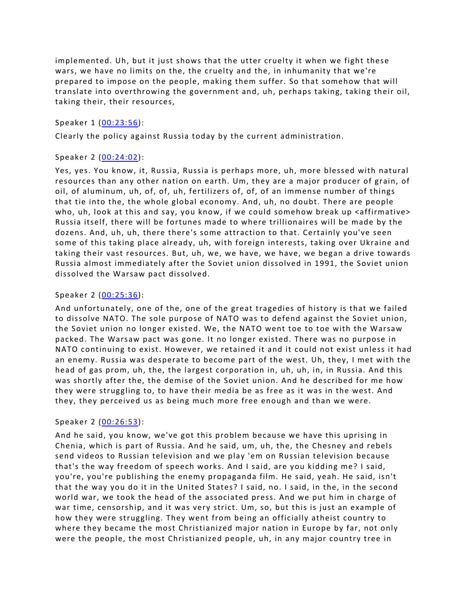implemented. Uh, but it just shows that the utter cruelty it when we fight these wars, we have no limits on the, the cruelty and the, in inhumanity that we're prepared to impose on the people, making them suffer. So that somehow that will translate into overthrowing the government and, uh, perhaps taking, taking their oil, taking their, their resources,

#### Speaker 1 ([00:23:56](https://www.temi.com/editor/t/wNqlUMe76J9IiWwF3SXKRluuNQlwzAET67QxKPQQQPWOnfSULT3sXNU36Edeks9oj1gvYHfb4Y4MEMA6L15qSUe9WdE?loadFrom=DocumentDeeplink&ts=1436.77)):

Clearly the policy against Russia today by the current administration.

### Speaker 2 ([00:24:02](https://www.temi.com/editor/t/wNqlUMe76J9IiWwF3SXKRluuNQlwzAET67QxKPQQQPWOnfSULT3sXNU36Edeks9oj1gvYHfb4Y4MEMA6L15qSUe9WdE?loadFrom=DocumentDeeplink&ts=1442)):

Yes, yes. You know, it, Russia, Russia is perhaps more, uh, more blessed with natural resources than any other nation on earth. Um, they are a major producer of grain, of oil, of aluminum, uh, of, of, uh, fertilizers of, of, of an immense number of things that tie into the, the whole global economy. And, uh, no doubt. There are people who, uh, look at this and say, you know, if we could somehow break up <affirmative> Russia itself, there will be fortunes made to where trillionaires will be made by the dozens. And, uh, uh, there there's some attraction to that. Certainly you've seen some of this taking place already, uh, with foreign interests, taking over Ukraine and taking their vast resources. But, uh, we, we have, we have, we began a drive towards Russia almost immediately after the Soviet union dissolved in 1991, the Soviet union dissolved the Warsaw pact dissolved.

### Speaker 2 ([00:25:36](https://www.temi.com/editor/t/wNqlUMe76J9IiWwF3SXKRluuNQlwzAET67QxKPQQQPWOnfSULT3sXNU36Edeks9oj1gvYHfb4Y4MEMA6L15qSUe9WdE?loadFrom=DocumentDeeplink&ts=1536.32)):

And unfortunately, one of the, one of the great tragedies of history is that we failed to dissolve NATO. The sole purpose of NATO was to defend against the Soviet union, the Soviet union no longer existed. We, the NATO went toe to toe with the Warsaw packed. The Warsaw pact was gone. It no longer existed. There was no purpose in NATO continuing to exist. However, we retained it and it could not exist unless it had an enemy. Russia was desperate to become part of the west. Uh, they, I met with the head of gas prom, uh, the, the largest corporation in, uh, uh, in, in Russia. And this was shortly after the, the demise of the Soviet union. And he described for me how they were struggling to, to have their media be as free as it was in the west. And they, they perceived us as being much more free enough and than we were.

# Speaker 2 ([00:26:53](https://www.temi.com/editor/t/wNqlUMe76J9IiWwF3SXKRluuNQlwzAET67QxKPQQQPWOnfSULT3sXNU36Edeks9oj1gvYHfb4Y4MEMA6L15qSUe9WdE?loadFrom=DocumentDeeplink&ts=1613.42)):

And he said, you know, we've got this problem because we have this uprising in Chenia, which is part of Russia. And he said, um, uh, the, the Chesney and rebels send videos to Russian television and we play 'em on Russian television because that's the way freedom of speech works. And I said, are you kidding me? I said, you're, you're publishing the enemy propaganda film. He said, yeah. He said, isn't that the way you do it in the United States? I said, no. I said, in the, in the second world war, we took the head of the associated press. And we put him in charge of war time, censorship, and it was very strict. Um, so, but this is just an example of how they were struggling. They went from being an officially atheist country to where they became the most Christianized major nation in Europe by far, not only were the people, the most Christianized people, uh, in any major country tree in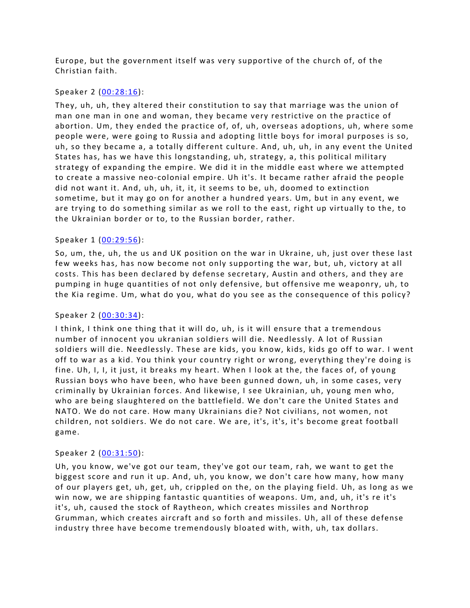Europe, but the government itself was very supportive of the church of, of the Christian faith.

#### Speaker 2 ([00:28:16](https://www.temi.com/editor/t/wNqlUMe76J9IiWwF3SXKRluuNQlwzAET67QxKPQQQPWOnfSULT3sXNU36Edeks9oj1gvYHfb4Y4MEMA6L15qSUe9WdE?loadFrom=DocumentDeeplink&ts=1696.51)):

They, uh, uh, they altered their constitution to say that marriage was the union of man one man in one and woman, they became very restrictive on the practice of abortion. Um, they ended the practice of, of, uh, overseas adoptions, uh, where some people were, were going to Russia and adopting little boys for imoral purposes is so, uh, so they became a, a totally different culture. And, uh, uh, in any event the United States has, has we have this longstanding, uh, strategy, a, this political military strategy of expanding the empire. We did it in the middle east where we attempted to create a massive neo-colonial empire. Uh it's. It became rather afraid the people did not want it. And, uh, uh, it, it, it seems to be, uh, doomed to extinction sometime, but it may go on for another a hundred years. Um, but in any event, we are trying to do something similar as we roll to the east, right up virtually to the, to the Ukrainian border or to, to the Russian border, rather.

### Speaker 1 ([00:29:56](https://www.temi.com/editor/t/wNqlUMe76J9IiWwF3SXKRluuNQlwzAET67QxKPQQQPWOnfSULT3sXNU36Edeks9oj1gvYHfb4Y4MEMA6L15qSUe9WdE?loadFrom=DocumentDeeplink&ts=1796.71)):

So, um, the, uh, the us and UK position on the war in Ukraine, uh, just over these last few weeks has, has now become not only supporting the war, but, uh, victory at all costs. This has been declared by defense secretary, Austin and others, and they are pumping in huge quantities of not only defensive, but offensive me weaponry, uh, to the Kia regime. Um, what do you, what do you see as the consequence of this policy?

#### Speaker 2 ([00:30:34](https://www.temi.com/editor/t/wNqlUMe76J9IiWwF3SXKRluuNQlwzAET67QxKPQQQPWOnfSULT3sXNU36Edeks9oj1gvYHfb4Y4MEMA6L15qSUe9WdE?loadFrom=DocumentDeeplink&ts=1834.71)):

I think, I think one thing that it will do, uh, is it will ensure that a tremendous number of innocent you ukranian soldiers will die. Needlessly. A lot of Russian soldiers will die. Needlessly. These are kids, you know, kids, kids go off to war. I went off to war as a kid. You think your country right or wrong, everything they're doing is fine. Uh, I, I, it just, it breaks my heart. When I look at the, the faces of, of young Russian boys who have been, who have been gunned down, uh, in some cases, very criminally by Ukrainian forces. And likewise, I see Ukrainian, uh, young men who, who are being slaughtered on the battlefield. We don't care the United States and NATO. We do not care. How many Ukrainians die? Not civilians, not women, not children, not soldiers. We do not care. We are, it's, it's, it's become great football game.

#### Speaker 2 ([00:31:50](https://www.temi.com/editor/t/wNqlUMe76J9IiWwF3SXKRluuNQlwzAET67QxKPQQQPWOnfSULT3sXNU36Edeks9oj1gvYHfb4Y4MEMA6L15qSUe9WdE?loadFrom=DocumentDeeplink&ts=1910.87)):

Uh, you know, we've got our team, they've got our team, rah, we want to get the biggest score and run it up. And, uh, you know, we don't care how many, how many of our players get, uh, get, uh, crippled on the, on the playing field. Uh, as long as we win now, we are shipping fantastic quantities of weapons. Um, and, uh, it's re it's it's, uh, caused the stock of Raytheon, which creates missiles and Northrop Grumman, which creates aircraft and so forth and missiles. Uh, all of these defense industry three have become tremendously bloated with, with, uh, tax dollars.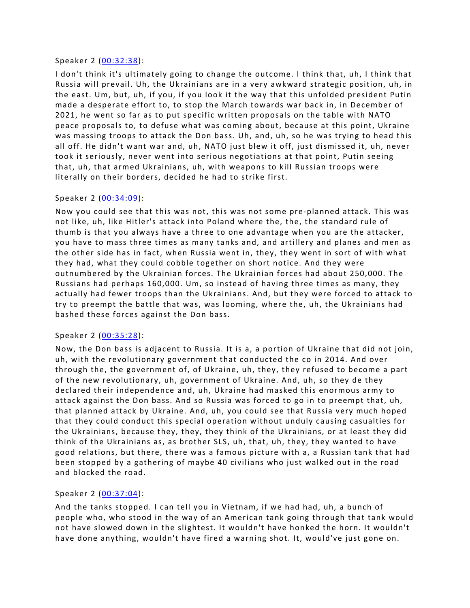#### Speaker 2 ([00:32:38](https://www.temi.com/editor/t/wNqlUMe76J9IiWwF3SXKRluuNQlwzAET67QxKPQQQPWOnfSULT3sXNU36Edeks9oj1gvYHfb4Y4MEMA6L15qSUe9WdE?loadFrom=DocumentDeeplink&ts=1958.01)):

I don't think it's ultimately going to change the outcome. I think that, uh, I think that Russia will prevail. Uh, the Ukrainians are in a very awkward strategic position, uh, in the east. Um, but, uh, if you, if you look it the way that this unfolded president Putin made a desperate effort to, to stop the March towards war back in, in December of 2021, he went so far as to put specific written proposals on the table with NATO peace proposals to, to defuse what was coming about, because at this point, Ukraine was massing troops to attack the Don bass. Uh, and, uh, so he was trying to head this all off. He didn't want war and, uh, NATO just blew it off, just dismissed it, uh, never took it seriously, never went into serious negotiations at that point, Putin seeing that, uh, that armed Ukrainians, uh, with weapons to kill Russian troops were literally on their borders, decided he had to strike first.

# Speaker 2 ([00:34:09](https://www.temi.com/editor/t/wNqlUMe76J9IiWwF3SXKRluuNQlwzAET67QxKPQQQPWOnfSULT3sXNU36Edeks9oj1gvYHfb4Y4MEMA6L15qSUe9WdE?loadFrom=DocumentDeeplink&ts=2049.59)):

Now you could see that this was not, this was not some pre-planned attack. This was not like, uh, like Hitler's attack into Poland where the, the, the standard rule of thumb is that you always have a three to one advantage when you are the attacker, you have to mass three times as many tanks and, and artillery and planes and men as the other side has in fact, when Russia went in, they, they went in sort of with what they had, what they could cobble together on short notice. And they were outnumbered by the Ukrainian forces. The Ukrainian forces had about 250,000. The Russians had perhaps 160,000. Um, so instead of having three times as many, they actually had fewer troops than the Ukrainians. And, but they were forced to attack to try to preempt the battle that was, was looming, where the, uh, the Ukrainians had bashed these forces against the Don bass.

# Speaker 2 ([00:35:28](https://www.temi.com/editor/t/wNqlUMe76J9IiWwF3SXKRluuNQlwzAET67QxKPQQQPWOnfSULT3sXNU36Edeks9oj1gvYHfb4Y4MEMA6L15qSUe9WdE?loadFrom=DocumentDeeplink&ts=2128.65)):

Now, the Don bass is adjacent to Russia. It is a, a portion of Ukraine that did not join, uh, with the revolutionary government that conducted the co in 2014. And over through the, the government of, of Ukraine, uh, they, they refused to become a part of the new revolutionary, uh, government of Ukraine. And, uh, so they de they declared their independence and, uh, Ukraine had masked this enormous army to attack against the Don bass. And so Russia was forced to go in to preempt that, uh, that planned attack by Ukraine. And, uh, you could see that Russia very much hoped that they could conduct this special operation without unduly causing casualties for the Ukrainians, because they, they, they think of the Ukrainians, or at least they did think of the Ukrainians as, as brother SLS, uh, that, uh, they, they wanted to have good relations, but there, there was a famous picture with a, a Russian tank that had been stopped by a gathering of maybe 40 civilians who just walked out in the road and blocked the road.

# Speaker 2 ([00:37:04](https://www.temi.com/editor/t/wNqlUMe76J9IiWwF3SXKRluuNQlwzAET67QxKPQQQPWOnfSULT3sXNU36Edeks9oj1gvYHfb4Y4MEMA6L15qSUe9WdE?loadFrom=DocumentDeeplink&ts=2224.88)):

And the tanks stopped. I can tell you in Vietnam, if we had had, uh, a bunch of people who, who stood in the way of an American tank going through that tank would not have slowed down in the slightest. It wouldn't have honked the horn. It wouldn't have done anything, wouldn't have fired a warning shot. It, would've just gone on.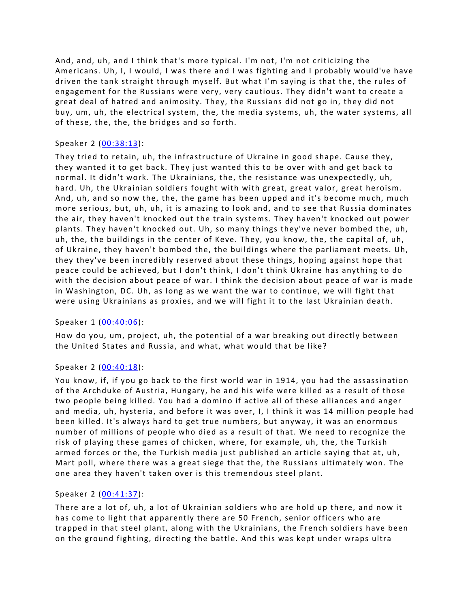And, and, uh, and I think that's more typical. I'm not, I'm not criticizing the Americans. Uh, I, I would, I was there and I was fighting and I probably would've have driven the tank straight through myself. But what I'm saying is that the, the rules of engagement for the Russians were very, very cautious. They didn't want to create a great deal of hatred and animosity. They, the Russians did not go in, they did not buy, um, uh, the electrical system, the, the media systems, uh, the water systems, all of these, the, the, the bridges and so forth.

# Speaker 2 ([00:38:13](https://www.temi.com/editor/t/wNqlUMe76J9IiWwF3SXKRluuNQlwzAET67QxKPQQQPWOnfSULT3sXNU36Edeks9oj1gvYHfb4Y4MEMA6L15qSUe9WdE?loadFrom=DocumentDeeplink&ts=2293.69)):

They tried to retain, uh, the infrastructure of Ukraine in good shape. Cause they, they wanted it to get back. They just wanted this to be over with and get back to normal. It didn't work. The Ukrainians, the, the resistance was unexpectedly, uh, hard. Uh, the Ukrainian soldiers fought with with great, great valor, great heroism. And, uh, and so now the, the, the game has been upped and it's become much, much more serious, but, uh, uh, it is amazing to look and, and to see that Russia dominates the air, they haven't knocked out the train systems. They haven't knocked out power plants. They haven't knocked out. Uh, so many things they've never bombed the, uh, uh, the, the buildings in the center of Keve. They, you know, the, the capital of, uh, of Ukraine, they haven't bombed the, the buildings where the parliament meets. Uh, they they've been incredibly reserved about these things, hoping against hope that peace could be achieved, but I don't think, I don't think Ukraine has anything to do with the decision about peace of war. I think the decision about peace of war is made in Washington, DC. Uh, as long as we want the war to continue, we will fight that were using Ukrainians as proxies, and we will fight it to the last Ukrainian death.

# Speaker 1 ([00:40:06](https://www.temi.com/editor/t/wNqlUMe76J9IiWwF3SXKRluuNQlwzAET67QxKPQQQPWOnfSULT3sXNU36Edeks9oj1gvYHfb4Y4MEMA6L15qSUe9WdE?loadFrom=DocumentDeeplink&ts=2406.219)):

How do you, um, project, uh, the potential of a war breaking out directly between the United States and Russia, and what, what would that be like?

# Speaker 2 ([00:40:18](https://www.temi.com/editor/t/wNqlUMe76J9IiWwF3SXKRluuNQlwzAET67QxKPQQQPWOnfSULT3sXNU36Edeks9oj1gvYHfb4Y4MEMA6L15qSUe9WdE?loadFrom=DocumentDeeplink&ts=2418.92)):

You know, if, if you go back to the first world war in 1914, you had the assassination of the Archduke of Austria, Hungary, he and his wife were killed as a result of those two people being killed. You had a domino if active all of these alliances and anger and media, uh, hysteria, and before it was over, I, I think it was 14 million people had been killed. It's always hard to get true numbers, but anyway, it was an enormous number of millions of people who died as a result of that. We need to recognize the risk of playing these games of chicken, where, for example, uh, the, the Turkish armed forces or the, the Turkish media just published an article saying that at, uh, Mart poll, where there was a great siege that the, the Russians ultimately won. The one area they haven't taken over is this tremendous steel plant.

# Speaker 2 ([00:41:37](https://www.temi.com/editor/t/wNqlUMe76J9IiWwF3SXKRluuNQlwzAET67QxKPQQQPWOnfSULT3sXNU36Edeks9oj1gvYHfb4Y4MEMA6L15qSUe9WdE?loadFrom=DocumentDeeplink&ts=2497.45)):

There are a lot of, uh, a lot of Ukrainian soldiers who are hold up there, and now it has come to light that apparently there are 50 French, senior officers who are trapped in that steel plant, along with the Ukrainians, the French soldiers have been on the ground fighting, directing the battle. And this was kept under wraps ultra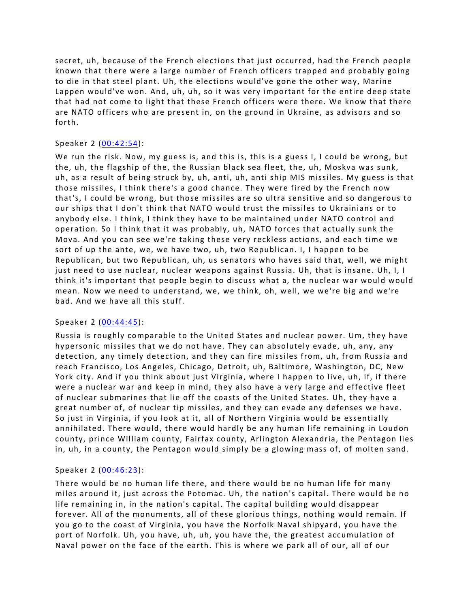secret, uh, because of the French elections that just occurred, had the French people known that there were a large number of French officers trapped and probably going to die in that steel plant. Uh, the elections would've gone the other way, Marine Lappen would've won. And, uh, uh, so it was very important for the entire deep state that had not come to light that these French officers were there. We know that there are NATO officers who are present in, on the ground in Ukraine, as advisors and so forth.

# Speaker 2 ([00:42:54](https://www.temi.com/editor/t/wNqlUMe76J9IiWwF3SXKRluuNQlwzAET67QxKPQQQPWOnfSULT3sXNU36Edeks9oj1gvYHfb4Y4MEMA6L15qSUe9WdE?loadFrom=DocumentDeeplink&ts=2574.14)):

We run the risk. Now, my guess is, and this is, this is a guess I, I could be wrong, but the, uh, the flagship of the, the Russian black sea fleet, the, uh, Moskva was sunk, uh, as a result of being struck by, uh, anti, uh, anti ship MIS missiles. My guess is that those missiles, I think there's a good chance. They were fired by the French now that's, I could be wrong, but those missiles are so ultra sensitive and so dangerous to our ships that I don't think that NATO would trust the missiles to Ukrainians or to anybody else. I think, I think they have to be maintained under NATO control and operation. So I think that it was probably, uh, NATO forces that actually sunk the Mova. And you can see we're taking these very reckless actions, and each time we sort of up the ante, we, we have two, uh, two Republican. I, I happen to be Republican, but two Republican, uh, us senators who haves said that, well, we might just need to use nuclear, nuclear weapons against Russia. Uh, that is insane. Uh, I, I think it's important that people begin to discuss what a, the nuclear war would would mean. Now we need to understand, we, we think, oh, well, we we're big and we're bad. And we have all this stuff.

#### Speaker 2 ([00:44:45](https://www.temi.com/editor/t/wNqlUMe76J9IiWwF3SXKRluuNQlwzAET67QxKPQQQPWOnfSULT3sXNU36Edeks9oj1gvYHfb4Y4MEMA6L15qSUe9WdE?loadFrom=DocumentDeeplink&ts=2685.59)):

Russia is roughly comparable to the United States and nuclear power. Um, they have hypersonic missiles that we do not have. They can absolutely evade, uh, any, any detection, any timely detection, and they can fire missiles from, uh, from Russia and reach Francisco, Los Angeles, Chicago, Detroit, uh, Baltimore, Washington, DC, New York city. And if you think about just Virginia, where I happen to live, uh, if, if there were a nuclear war and keep in mind, they also have a very large and effective fleet of nuclear submarines that lie off the coasts of the United States. Uh, they have a great number of, of nuclear tip missiles, and they can evade any defenses we have. So just in Virginia, if you look at it, all of Northern Virginia would be essentially annihilated. There would, there would hardly be any human life remaining in Loudon county, prince William county, Fairfax county, Arlington Alexandria, the Pentagon lies in, uh, in a county, the Pentagon would simply be a glowing mass of, of molten sand.

# Speaker 2 ([00:46:23](https://www.temi.com/editor/t/wNqlUMe76J9IiWwF3SXKRluuNQlwzAET67QxKPQQQPWOnfSULT3sXNU36Edeks9oj1gvYHfb4Y4MEMA6L15qSUe9WdE?loadFrom=DocumentDeeplink&ts=2783.21)):

There would be no human life there, and there would be no human life for many miles around it, just across the Potomac. Uh, the nation's capital. There would be no life remaining in, in the nation's capital. The capital building would disappear forever. All of the monuments, all of these glorious things, nothing would remain. If you go to the coast of Virginia, you have the Norfolk Naval shipyard, you have the port of Norfolk. Uh, you have, uh, uh, you have the, the greatest accumulation of Naval power on the face of the earth. This is where we park all of our, all of our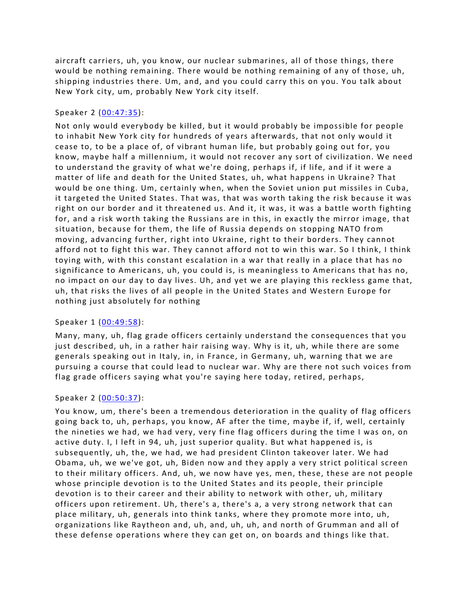aircraft carriers, uh, you know, our nuclear submarines, all of those things, there would be nothing remaining. There would be nothing remaining of any of those, uh, shipping industries there. Um, and, and you could carry this on you. You talk about New York city, um, probably New York city itself.

### Speaker 2 ([00:47:35](https://www.temi.com/editor/t/wNqlUMe76J9IiWwF3SXKRluuNQlwzAET67QxKPQQQPWOnfSULT3sXNU36Edeks9oj1gvYHfb4Y4MEMA6L15qSUe9WdE?loadFrom=DocumentDeeplink&ts=2855.46)):

Not only would everybody be killed, but it would probably be impossible for people to inhabit New York city for hundreds of years afterwards, that not only would it cease to, to be a place of, of vibrant human life, but probably going out for, you know, maybe half a millennium, it would not recover any sort of civilization. We need to understand the gravity of what we're doing, perhaps if, if life, and if it were a matter of life and death for the United States, uh, what happens in Ukraine? That would be one thing. Um, certainly when, when the Soviet union put missiles in Cuba, it targeted the United States. That was, that was worth taking the risk because it was right on our border and it threatened us. And it, it was, it was a battle worth fighting for, and a risk worth taking the Russians are in this, in exactly the mirror image, that situation, because for them, the life of Russia depends on stopping NATO from moving, advancing further, right into Ukraine, right to their borders. They cannot afford not to fight this war. They cannot afford not to win this war. So I think, I think toying with, with this constant escalation in a war that really in a place that has no significance to Americans, uh, you could is, is meaningless to Americans that has no, no impact on our day to day lives. Uh, and yet we are playing this reckless game that, uh, that risks the lives of all people in the United States and Western Europe for nothing just absolutely for nothing

# Speaker 1 ([00:49:58](https://www.temi.com/editor/t/wNqlUMe76J9IiWwF3SXKRluuNQlwzAET67QxKPQQQPWOnfSULT3sXNU36Edeks9oj1gvYHfb4Y4MEMA6L15qSUe9WdE?loadFrom=DocumentDeeplink&ts=2998.83)):

Many, many, uh, flag grade officers certainly understand the consequences that you just described, uh, in a rather hair raising way. Why is it, uh, while there are some generals speaking out in Italy, in, in France, in Germany, uh, warning that we are pursuing a course that could lead to nuclear war. Why are there not such voices from flag grade officers saying what you're saying here today, retired, perhaps,

#### Speaker 2 ([00:50:37](https://www.temi.com/editor/t/wNqlUMe76J9IiWwF3SXKRluuNQlwzAET67QxKPQQQPWOnfSULT3sXNU36Edeks9oj1gvYHfb4Y4MEMA6L15qSUe9WdE?loadFrom=DocumentDeeplink&ts=3037.82)):

You know, um, there's been a tremendous deterioration in the quality of flag officers going back to, uh, perhaps, you know, AF after the time, maybe if, if, well, certainly the nineties we had, we had very, very fine flag officers during the time I was on, on active duty. I, I left in 94, uh, just superior quality. But what happened is, is subsequently, uh, the, we had, we had president Clinton takeover later. We had Obama, uh, we we've got, uh, Biden now and they apply a very strict political screen to their military officers. And, uh, we now have yes, men, these, these are not people whose principle devotion is to the United States and its people, their principle devotion is to their career and their ability to network with other, uh, military officers upon retirement. Uh, there's a, there's a, a very strong network that can place military, uh, generals into think tanks, where they promote more into, uh, organizations like Raytheon and, uh, and, uh, uh, and north of Grumman and all of these defense operations where they can get on, on boards and things like that.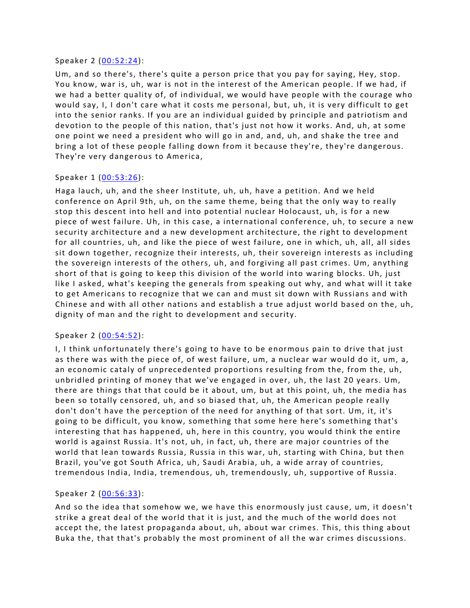#### Speaker 2 ([00:52:24](https://www.temi.com/editor/t/wNqlUMe76J9IiWwF3SXKRluuNQlwzAET67QxKPQQQPWOnfSULT3sXNU36Edeks9oj1gvYHfb4Y4MEMA6L15qSUe9WdE?loadFrom=DocumentDeeplink&ts=3144.77)):

Um, and so there's, there's quite a person price that you pay for saying, Hey, stop. You know, war is, uh, war is not in the interest of the American people. If we had, if we had a better quality of, of individual, we would have people with the courage who would say, I, I don't care what it costs me personal, but, uh, it is very difficult to get into the senior ranks. If you are an individual guided by principle and patriotism and devotion to the people of this nation, that's just not how it works. And, uh, at some one point we need a president who will go in and, and, uh, and shake the tree and bring a lot of these people falling down from it because they're, they're dangerous. They're very dangerous to America,

### Speaker 1 ([00:53:26](https://www.temi.com/editor/t/wNqlUMe76J9IiWwF3SXKRluuNQlwzAET67QxKPQQQPWOnfSULT3sXNU36Edeks9oj1gvYHfb4Y4MEMA6L15qSUe9WdE?loadFrom=DocumentDeeplink&ts=3206.13)):

Haga lauch, uh, and the sheer Institute, uh, uh, have a petition. And we held conference on April 9th, uh, on the same theme, being that the only way to really stop this descent into hell and into potential nuclear Holocaust, uh, is for a new piece of west failure. Uh, in this case, a international conference, uh, to secure a new security architecture and a new development architecture, the right to development for all countries, uh, and like the piece of west failure, one in which, uh, all, all sides sit down together, recognize their interests, uh, their sovereign interests as including the sovereign interests of the others, uh, and forgiving all past crimes. Um, anything short of that is going to keep this division of the world into waring blocks. Uh, just like I asked, what's keeping the generals from speaking out why, and what will it take to get Americans to recognize that we can and must sit down with Russians and with Chinese and with all other nations and establish a true adjust world based on the, uh, dignity of man and the right to development and security.

#### Speaker 2 ([00:54:52](https://www.temi.com/editor/t/wNqlUMe76J9IiWwF3SXKRluuNQlwzAET67QxKPQQQPWOnfSULT3sXNU36Edeks9oj1gvYHfb4Y4MEMA6L15qSUe9WdE?loadFrom=DocumentDeeplink&ts=3292.92)):

I, I think unfortunately there's going to have to be enormous pain to drive that just as there was with the piece of, of west failure, um, a nuclear war would do it, um, a, an economic cataly of unprecedented proportions resulting from the, from the, uh, unbridled printing of money that we've engaged in over, uh, the last 20 years. Um, there are things that that could be it about, um, but at this point, uh, the media has been so totally censored, uh, and so biased that, uh, the American people really don't don't have the perception of the need for anything of that sort. Um, it, it's going to be difficult, you know, something that some here here's something that's interesting that has happened, uh, here in this country, you would think the entire world is against Russia. It's not, uh, in fact, uh, there are major countries of the world that lean towards Russia, Russia in this war, uh, starting with China, but then Brazil, you've got South Africa, uh, Saudi Arabia, uh, a wide array of countries, tremendous India, India, tremendous, uh, tremendously, uh, supportive of Russia.

# Speaker 2 ([00:56:33](https://www.temi.com/editor/t/wNqlUMe76J9IiWwF3SXKRluuNQlwzAET67QxKPQQQPWOnfSULT3sXNU36Edeks9oj1gvYHfb4Y4MEMA6L15qSUe9WdE?loadFrom=DocumentDeeplink&ts=3393.78)):

And so the idea that somehow we, we have this enormously just cause, um, it doesn't strike a great deal of the world that it is just, and the much of the world does not accept the, the latest propaganda about, uh, about war crimes. This, this thing about Buka the, that that's probably the most prominent of all the war crimes discussions.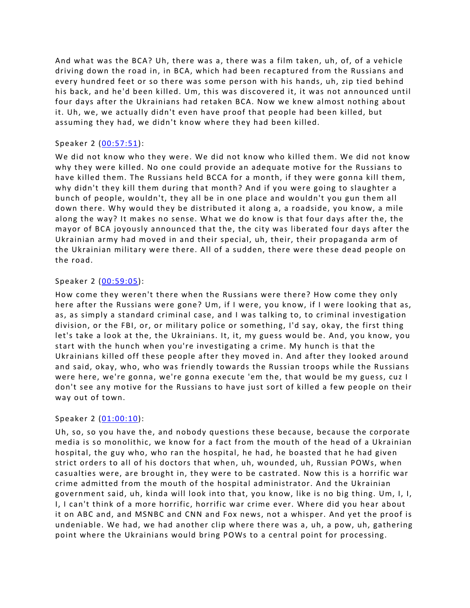And what was the BCA? Uh, there was a, there was a film taken, uh, of, of a vehicle driving down the road in, in BCA, which had been recaptured from the Russians and every hundred feet or so there was some person with his hands, uh, zip tied behind his back, and he'd been killed. Um, this was discovered it, it was not announced until four days after the Ukrainians had retaken BCA. Now we knew almost nothing about it. Uh, we, we actually didn't even have proof that people had been killed, but assuming they had, we didn't know where they had been killed.

### Speaker 2 ([00:57:51](https://www.temi.com/editor/t/wNqlUMe76J9IiWwF3SXKRluuNQlwzAET67QxKPQQQPWOnfSULT3sXNU36Edeks9oj1gvYHfb4Y4MEMA6L15qSUe9WdE?loadFrom=DocumentDeeplink&ts=3471.72)):

We did not know who they were. We did not know who killed them. We did not know why they were killed. No one could provide an adequate motive for the Russians to have killed them. The Russians held BCCA for a month, if they were gonna kill them, why didn't they kill them during that month? And if you were going to slaughter a bunch of people, wouldn't, they all be in one place and wouldn't you gun them all down there. Why would they be distributed it along a, a roadside, you know, a mile along the way? It makes no sense. What we do know is that four days after the, the mayor of BCA joyously announced that the, the city was liberated four days after the Ukrainian army had moved in and their special, uh, their, their propaganda arm of the Ukrainian military were there. All of a sudden, there were these dead people on the road.

### Speaker 2 ([00:59:05](https://www.temi.com/editor/t/wNqlUMe76J9IiWwF3SXKRluuNQlwzAET67QxKPQQQPWOnfSULT3sXNU36Edeks9oj1gvYHfb4Y4MEMA6L15qSUe9WdE?loadFrom=DocumentDeeplink&ts=3545.44)):

How come they weren't there when the Russians were there? How come they only here after the Russians were gone? Um, if I were, you know, if I were looking that as, as, as simply a standard criminal case, and I was talking to, to criminal investigation division, or the FBI, or, or military police or something, I'd say, okay, the first thing let's take a look at the, the Ukrainians. It, it, my guess would be. And, you know, you start with the hunch when you're investigating a crime. My hunch is that the Ukrainians killed off these people after they moved in. And after they looked around and said, okay, who, who was friendly towards the Russian troops while the Russians were here, we're gonna, we're gonna execute 'em the, that would be my guess, cuz I don't see any motive for the Russians to have just sort of killed a few people on their way out of town.

#### Speaker 2 ([01:00:10](https://www.temi.com/editor/t/wNqlUMe76J9IiWwF3SXKRluuNQlwzAET67QxKPQQQPWOnfSULT3sXNU36Edeks9oj1gvYHfb4Y4MEMA6L15qSUe9WdE?loadFrom=DocumentDeeplink&ts=3610.62)):

Uh, so, so you have the, and nobody questions these because, because the corporate media is so monolithic, we know for a fact from the mouth of the head of a Ukrainian hospital, the guy who, who ran the hospital, he had, he boasted that he had given strict orders to all of his doctors that when, uh, wounded, uh, Russian POWs, when casualties were, are brought in, they were to be castrated. Now this is a horrific war crime admitted from the mouth of the hospital administrator. And the Ukrainian government said, uh, kinda will look into that, you know, like is no big thing. Um, I, I, I, I can't think of a more horrific, horrific war crime ever. Where did you hear about it on ABC and, and MSNBC and CNN and Fox news, not a whisper. And yet the proof is undeniable. We had, we had another clip where there was a, uh, a pow, uh, gathering point where the Ukrainians would bring POWs to a central point for processing.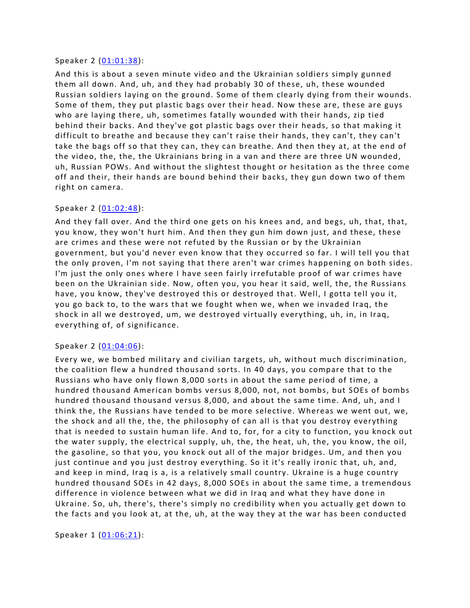#### Speaker 2 ([01:01:38](https://www.temi.com/editor/t/wNqlUMe76J9IiWwF3SXKRluuNQlwzAET67QxKPQQQPWOnfSULT3sXNU36Edeks9oj1gvYHfb4Y4MEMA6L15qSUe9WdE?loadFrom=DocumentDeeplink&ts=3698.7)):

And this is about a seven minute video and the Ukrainian soldiers simply gunned them all down. And, uh, and they had probably 30 of these, uh, these wounded Russian soldiers laying on the ground. Some of them clearly dying from their wounds. Some of them, they put plastic bags over their head. Now these are, these are guys who are laying there, uh, sometimes fatally wounded with their hands, zip tied behind their backs. And they've got plastic bags over their heads, so that making it difficult to breathe and because they can't raise their hands, they can't, they can't take the bags off so that they can, they can breathe. And then they at, at the end of the video, the, the, the Ukrainians bring in a van and there are three UN wounded, uh, Russian POWs. And without the slightest thought or hesitation as the three come off and their, their hands are bound behind their backs, they gun down two of them right on camera.

### Speaker 2 ([01:02:48](https://www.temi.com/editor/t/wNqlUMe76J9IiWwF3SXKRluuNQlwzAET67QxKPQQQPWOnfSULT3sXNU36Edeks9oj1gvYHfb4Y4MEMA6L15qSUe9WdE?loadFrom=DocumentDeeplink&ts=3768.04)):

And they fall over. And the third one gets on his knees and, and begs, uh, that, that, you know, they won't hurt him. And then they gun him down just, and these, these are crimes and these were not refuted by the Russian or by the Ukrainian government, but you'd never even know that they occurred so far. I will tell you that the only proven, I'm not saying that there aren't war crimes happening on both sides. I'm just the only ones where I have seen fairly irrefutable proof of war crimes have been on the Ukrainian side. Now, often you, you hear it said, well, the, the Russians have, you know, they've destroyed this or destroyed that. Well, I gotta tell you it, you go back to, to the wars that we fought when we, when we invaded Iraq, the shock in all we destroyed, um, we destroyed virtually everything, uh, in, in Iraq, everything of, of significance.

#### Speaker 2 ([01:04:06](https://www.temi.com/editor/t/wNqlUMe76J9IiWwF3SXKRluuNQlwzAET67QxKPQQQPWOnfSULT3sXNU36Edeks9oj1gvYHfb4Y4MEMA6L15qSUe9WdE?loadFrom=DocumentDeeplink&ts=3846.71)):

Every we, we bombed military and civilian targets, uh, without much discrimination, the coalition flew a hundred thousand sorts. In 40 days, you compare that to the Russians who have only flown 8,000 sorts in about the same period of time, a hundred thousand American bombs versus 8,000, not, not bombs, but SOEs of bombs hundred thousand thousand versus 8,000, and about the same time. And, uh, and I think the, the Russians have tended to be more selective. Whereas we went out, we, the shock and all the, the, the philosophy of can all is that you destroy everything that is needed to sustain human life. And to, for, for a city to function, you knock out the water supply, the electrical supply, uh, the, the heat, uh, the, you know, the oil, the gasoline, so that you, you knock out all of the major bridges. Um, and then you just continue and you just destroy everything. So it it's really ironic that, uh, and, and keep in mind, Iraq is a, is a relatively small country. Ukraine is a huge country hundred thousand SOEs in 42 days, 8,000 SOEs in about the same time, a tremendous difference in violence between what we did in Iraq and what they have done in Ukraine. So, uh, there's, there's simply no credibility when you actually get down to the facts and you look at, at the, uh, at the way they at the war has been conducted

Speaker 1 ([01:06:21](https://www.temi.com/editor/t/wNqlUMe76J9IiWwF3SXKRluuNQlwzAET67QxKPQQQPWOnfSULT3sXNU36Edeks9oj1gvYHfb4Y4MEMA6L15qSUe9WdE?loadFrom=DocumentDeeplink&ts=3981.86)):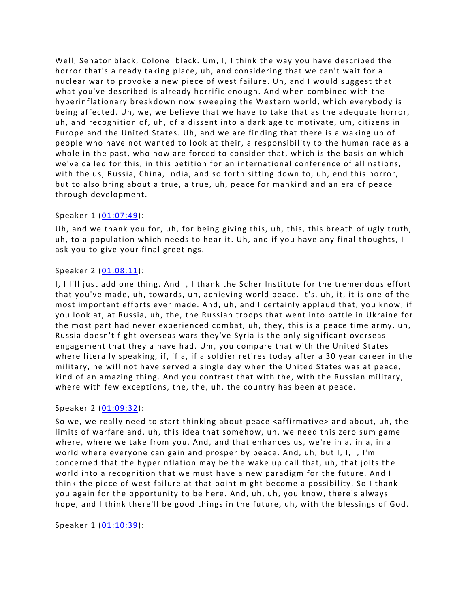Well, Senator black, Colonel black. Um, I, I think the way you have described the horror that's already taking place, uh, and considering that we can't wait for a nuclear war to provoke a new piece of west failure. Uh, and I would suggest that what you've described is already horrific enough. And when combined with the hyperinflationary breakdown now sweeping the Western world, which everybody is being affected. Uh, we, we believe that we have to take that as the adequate horror, uh, and recognition of, uh, of a dissent into a dark age to motivate, um, citizens in Europe and the United States. Uh, and we are finding that there is a waking up of people who have not wanted to look at their, a responsibility to the human race as a whole in the past, who now are forced to consider that, which is the basis on which we've called for this, in this petition for an international conference of all nations, with the us, Russia, China, India, and so forth sitting down to, uh, end this horror, but to also bring about a true, a true, uh, peace for mankind and an era of peace through development.

#### Speaker 1 ([01:07:49](https://www.temi.com/editor/t/wNqlUMe76J9IiWwF3SXKRluuNQlwzAET67QxKPQQQPWOnfSULT3sXNU36Edeks9oj1gvYHfb4Y4MEMA6L15qSUe9WdE?loadFrom=DocumentDeeplink&ts=4069.53)):

Uh, and we thank you for, uh, for being giving this, uh, this, this breath of ugly truth, uh, to a population which needs to hear it. Uh, and if you have any final thoughts, I ask you to give your final greetings.

### Speaker 2 ([01:08:11](https://www.temi.com/editor/t/wNqlUMe76J9IiWwF3SXKRluuNQlwzAET67QxKPQQQPWOnfSULT3sXNU36Edeks9oj1gvYHfb4Y4MEMA6L15qSUe9WdE?loadFrom=DocumentDeeplink&ts=4091.22)):

I, I I'll just add one thing. And I, I thank the Scher Institute for the tremendous effort that you've made, uh, towards, uh, achieving world peace. It's, uh, it, it is one of the most important efforts ever made. And, uh, and I certainly applaud that, you know, if you look at, at Russia, uh, the, the Russian troops that went into battle in Ukraine for the most part had never experienced combat, uh, they, this is a peace time army, uh, Russia doesn't fight overseas wars they've Syria is the only significant overseas engagement that they a have had. Um, you compare that with the United States where literally speaking, if, if a, if a soldier retires today after a 30 year career in the military, he will not have served a single day when the United States was at peace, kind of an amazing thing. And you contrast that with the, with the Russian military, where with few exceptions, the, the, uh, the country has been at peace.

# Speaker 2 ([01:09:32](https://www.temi.com/editor/t/wNqlUMe76J9IiWwF3SXKRluuNQlwzAET67QxKPQQQPWOnfSULT3sXNU36Edeks9oj1gvYHfb4Y4MEMA6L15qSUe9WdE?loadFrom=DocumentDeeplink&ts=4172.89)):

So we, we really need to start thinking about peace <affirmative> and about, uh, the limits of warfare and, uh, this idea that somehow, uh, we need this zero sum game where, where we take from you. And, and that enhances us, we're in a, in a, in a world where everyone can gain and prosper by peace. And, uh, but I, I, I, I'm concerned that the hyperinflation may be the wake up call that, uh, that jolts the world into a recognition that we must have a new paradigm for the future. And I think the piece of west failure at that point might become a possibility. So I thank you again for the opportunity to be here. And, uh, uh, you know, there's always hope, and I think there'll be good things in the future, uh, with the blessings of God.

Speaker 1 ([01:10:39](https://www.temi.com/editor/t/wNqlUMe76J9IiWwF3SXKRluuNQlwzAET67QxKPQQQPWOnfSULT3sXNU36Edeks9oj1gvYHfb4Y4MEMA6L15qSUe9WdE?loadFrom=DocumentDeeplink&ts=4239.09)):